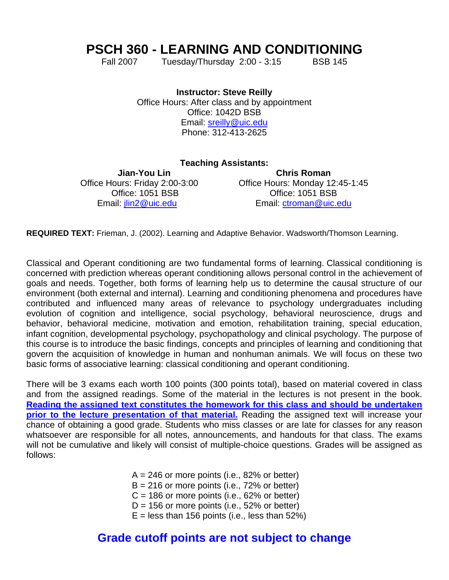# **PSCH 360 - LEARNING AND CONDITIONING**

Fall 2007 Tuesday/Thursday 2:00 - 3:15 BSB 145

**Instructor: Steve Reilly** Office Hours: After class and by appointment Office: 1042D BSB Email: [sreilly@uic.edu](mailto:sreilly@uic.edu) Phone: 312-413-2625

#### **Teaching Assistants:**

**Jian-You Lin Chris Roman**  Office Hours: Friday 2:00-3:00 Office Hours: Monday 12:45-1:45 Office: 1051 BSB Office: 1051 BSB Email: [jlin2@uic.edu](mailto:jlin2@uic.edu) Email: [ctroman@uic.edu](mailto:ctroman@uic.edu)

**REQUIRED TEXT:** Frieman, J. (2002). Learning and Adaptive Behavior. Wadsworth/Thomson Learning.

Classical and Operant conditioning are two fundamental forms of learning. Classical conditioning is concerned with prediction whereas operant conditioning allows personal control in the achievement of goals and needs. Together, both forms of learning help us to determine the causal structure of our environment (both external and internal). Learning and conditioning phenomena and procedures have contributed and influenced many areas of relevance to psychology undergraduates including evolution of cognition and intelligence, social psychology, behavioral neuroscience, drugs and behavior, behavioral medicine, motivation and emotion, rehabilitation training, special education, infant cognition, developmental psychology, psychopathology and clinical psychology. The purpose of this course is to introduce the basic findings, concepts and principles of learning and conditioning that govern the acquisition of knowledge in human and nonhuman animals. We will focus on these two basic forms of associative learning: classical conditioning and operant conditioning.

There will be 3 exams each worth 100 points (300 points total), based on material covered in class and from the assigned readings. Some of the material in the lectures is not present in the book. **Reading the assigned text constitutes the homework for this class and should be undertaken prior to the lecture presentation of that material.** Reading the assigned text will increase your chance of obtaining a good grade. Students who miss classes or are late for classes for any reason whatsoever are responsible for all notes, announcements, and handouts for that class. The exams will not be cumulative and likely will consist of multiple-choice questions. Grades will be assigned as follows:

- $A = 246$  or more points (i.e., 82% or better)
- $B = 216$  or more points (i.e., 72% or better)
- $C = 186$  or more points (i.e., 62% or better)
- $D = 156$  or more points (i.e., 52% or better)
- $E =$  less than 156 points (i.e., less than 52%)

## **Grade cutoff points are not subject to change**